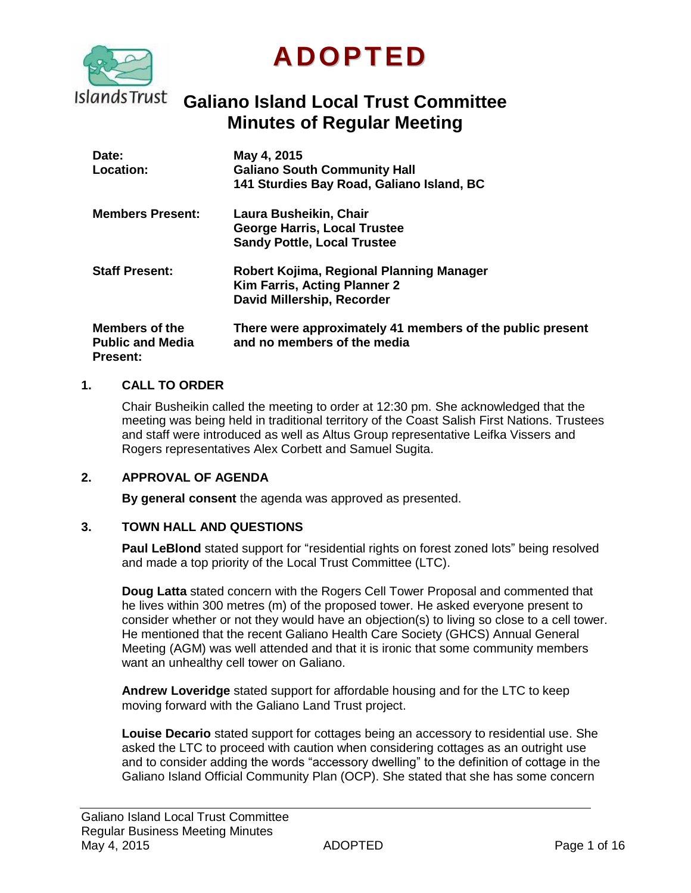

# **ADOPTED**

## **Galiano Island Local Trust Committee Minutes of Regular Meeting**

| Date:<br>Location:                                           | May 4, 2015<br><b>Galiano South Community Hall</b><br>141 Sturdies Bay Road, Galiano Island, BC        |
|--------------------------------------------------------------|--------------------------------------------------------------------------------------------------------|
| <b>Members Present:</b>                                      | Laura Busheikin, Chair<br><b>George Harris, Local Trustee</b><br><b>Sandy Pottle, Local Trustee</b>    |
| <b>Staff Present:</b>                                        | Robert Kojima, Regional Planning Manager<br>Kim Farris, Acting Planner 2<br>David Millership, Recorder |
| Members of the<br><b>Public and Media</b><br><b>Present:</b> | There were approximately 41 members of the public present<br>and no members of the media               |

#### **1. CALL TO ORDER**

Chair Busheikin called the meeting to order at 12:30 pm. She acknowledged that the meeting was being held in traditional territory of the Coast Salish First Nations. Trustees and staff were introduced as well as Altus Group representative Leifka Vissers and Rogers representatives Alex Corbett and Samuel Sugita.

#### **2. APPROVAL OF AGENDA**

**By general consent** the agenda was approved as presented.

#### **3. TOWN HALL AND QUESTIONS**

**Paul LeBlond** stated support for "residential rights on forest zoned lots" being resolved and made a top priority of the Local Trust Committee (LTC).

**Doug Latta** stated concern with the Rogers Cell Tower Proposal and commented that he lives within 300 metres (m) of the proposed tower. He asked everyone present to consider whether or not they would have an objection(s) to living so close to a cell tower. He mentioned that the recent Galiano Health Care Society (GHCS) Annual General Meeting (AGM) was well attended and that it is ironic that some community members want an unhealthy cell tower on Galiano.

**Andrew Loveridge** stated support for affordable housing and for the LTC to keep moving forward with the Galiano Land Trust project.

**Louise Decario** stated support for cottages being an accessory to residential use. She asked the LTC to proceed with caution when considering cottages as an outright use and to consider adding the words "accessory dwelling" to the definition of cottage in the Galiano Island Official Community Plan (OCP). She stated that she has some concern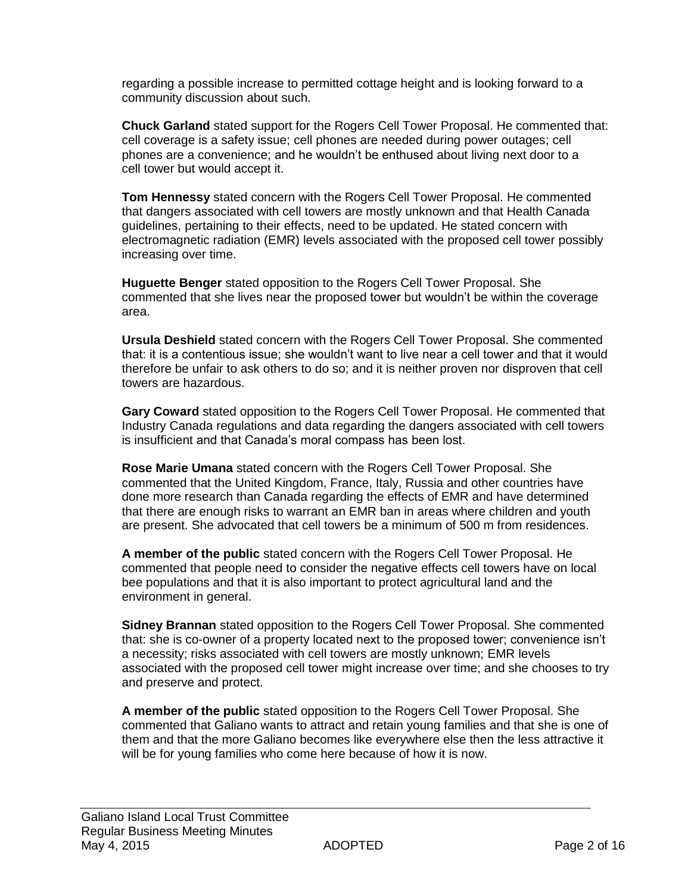regarding a possible increase to permitted cottage height and is looking forward to a community discussion about such.

**Chuck Garland** stated support for the Rogers Cell Tower Proposal. He commented that: cell coverage is a safety issue; cell phones are needed during power outages; cell phones are a convenience; and he wouldn't be enthused about living next door to a cell tower but would accept it.

**Tom Hennessy** stated concern with the Rogers Cell Tower Proposal. He commented that dangers associated with cell towers are mostly unknown and that Health Canada guidelines, pertaining to their effects, need to be updated. He stated concern with electromagnetic radiation (EMR) levels associated with the proposed cell tower possibly increasing over time.

**[Huguette Benger](http://www.isbns.co.no/author/Huguette_BENGER)** stated opposition to the Rogers Cell Tower Proposal. She commented that she lives near the proposed tower but wouldn't be within the coverage area.

**Ursula Deshield** stated concern with the Rogers Cell Tower Proposal. She commented that: it is a contentious issue; she wouldn't want to live near a cell tower and that it would therefore be unfair to ask others to do so; and it is neither proven nor disproven that cell towers are hazardous.

**Gary Coward** stated opposition to the Rogers Cell Tower Proposal. He commented that Industry Canada regulations and data regarding the dangers associated with cell towers is insufficient and that Canada's moral compass has been lost.

**Rose Marie Umana** stated concern with the Rogers Cell Tower Proposal. She commented that the United Kingdom, France, Italy, Russia and other countries have done more research than Canada regarding the effects of EMR and have determined that there are enough risks to warrant an EMR ban in areas where children and youth are present. She advocated that cell towers be a minimum of 500 m from residences.

**A member of the public** stated concern with the Rogers Cell Tower Proposal. He commented that people need to consider the negative effects cell towers have on local bee populations and that it is also important to protect agricultural land and the environment in general.

**Sidney Brannan** stated opposition to the Rogers Cell Tower Proposal. She commented that: she is co-owner of a property located next to the proposed tower; convenience isn't a necessity; risks associated with cell towers are mostly unknown; EMR levels associated with the proposed cell tower might increase over time; and she chooses to try and preserve and protect.

**A member of the public** stated opposition to the Rogers Cell Tower Proposal. She commented that Galiano wants to attract and retain young families and that she is one of them and that the more Galiano becomes like everywhere else then the less attractive it will be for young families who come here because of how it is now.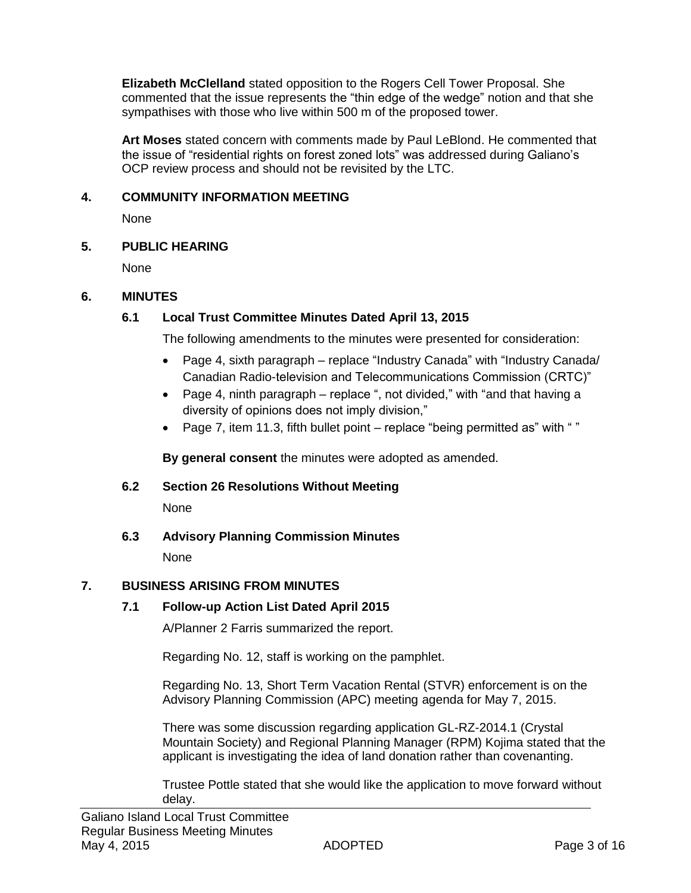**Elizabeth McClelland** stated opposition to the Rogers Cell Tower Proposal. She commented that the issue represents the "thin edge of the wedge" notion and that she sympathises with those who live within 500 m of the proposed tower.

**Art Moses** stated concern with comments made by Paul LeBlond. He commented that the issue of "residential rights on forest zoned lots" was addressed during Galiano's OCP review process and should not be revisited by the LTC.

## **4. COMMUNITY INFORMATION MEETING**

None

## **5. PUBLIC HEARING**

None

## **6. MINUTES**

## **6.1 Local Trust Committee Minutes Dated April 13, 2015**

The following amendments to the minutes were presented for consideration:

- Page 4, sixth paragraph replace "Industry Canada" with "Industry Canada/ Canadian Radio-television and Telecommunications Commission (CRTC)"
- Page 4, ninth paragraph replace ", not divided," with "and that having a diversity of opinions does not imply division,"
- Page 7, item 11.3, fifth bullet point replace "being permitted as" with ""

**By general consent** the minutes were adopted as amended.

## **6.2 Section 26 Resolutions Without Meeting**

None

**6.3 Advisory Planning Commission Minutes**

None

## **7. BUSINESS ARISING FROM MINUTES**

## **7.1 Follow-up Action List Dated April 2015**

A/Planner 2 Farris summarized the report.

Regarding No. 12, staff is working on the pamphlet.

Regarding No. 13, Short Term Vacation Rental (STVR) enforcement is on the Advisory Planning Commission (APC) meeting agenda for May 7, 2015.

There was some discussion regarding application GL-RZ-2014.1 (Crystal Mountain Society) and Regional Planning Manager (RPM) Kojima stated that the applicant is investigating the idea of land donation rather than covenanting.

Trustee Pottle stated that she would like the application to move forward without delay.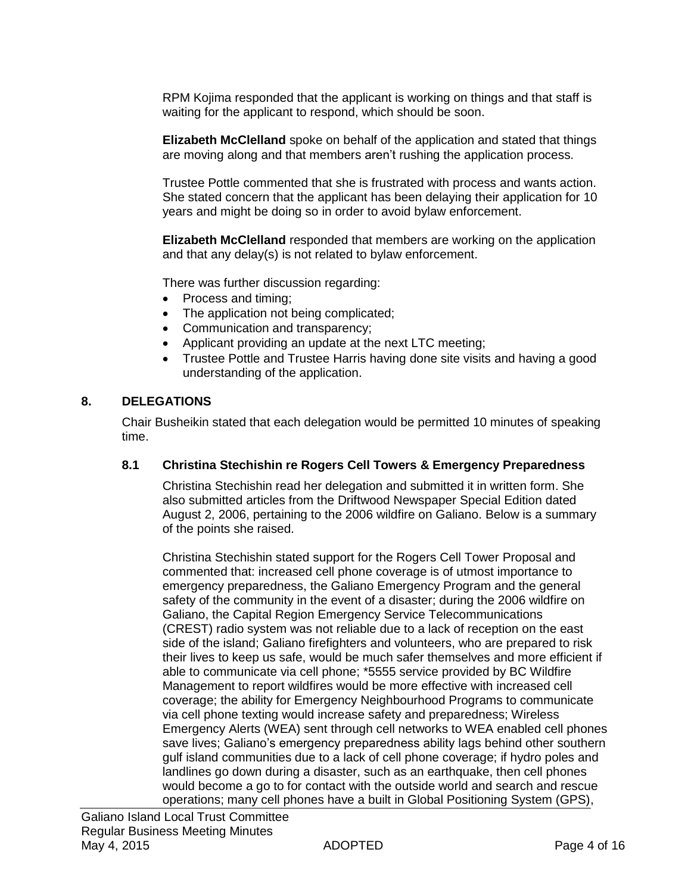RPM Kojima responded that the applicant is working on things and that staff is waiting for the applicant to respond, which should be soon.

**Elizabeth McClelland** spoke on behalf of the application and stated that things are moving along and that members aren't rushing the application process.

Trustee Pottle commented that she is frustrated with process and wants action. She stated concern that the applicant has been delaying their application for 10 years and might be doing so in order to avoid bylaw enforcement.

**Elizabeth McClelland** responded that members are working on the application and that any delay(s) is not related to bylaw enforcement.

There was further discussion regarding:

- Process and timing;
- The application not being complicated;
- Communication and transparency;
- Applicant providing an update at the next LTC meeting;
- Trustee Pottle and Trustee Harris having done site visits and having a good understanding of the application.

#### **8. DELEGATIONS**

Chair Busheikin stated that each delegation would be permitted 10 minutes of speaking time.

#### **8.1 Christina Stechishin re Rogers Cell Towers & Emergency Preparedness**

Christina Stechishin read her delegation and submitted it in written form. She also submitted articles from the Driftwood Newspaper Special Edition dated August 2, 2006, pertaining to the 2006 wildfire on Galiano. Below is a summary of the points she raised.

Christina Stechishin stated support for the Rogers Cell Tower Proposal and commented that: increased cell phone coverage is of utmost importance to emergency preparedness, the Galiano Emergency Program and the general safety of the community in the event of a disaster; during the 2006 wildfire on Galiano, the Capital Region Emergency Service Telecommunications (CREST) radio system was not reliable due to a lack of reception on the east side of the island; Galiano firefighters and volunteers, who are prepared to risk their lives to keep us safe, would be much safer themselves and more efficient if able to communicate via cell phone; \*5555 service provided by BC Wildfire Management to report wildfires would be more effective with increased cell coverage; the ability for Emergency Neighbourhood Programs to communicate via cell phone texting would increase safety and preparedness; Wireless Emergency Alerts (WEA) sent through cell networks to WEA enabled cell phones save lives; Galiano's emergency preparedness ability lags behind other southern gulf island communities due to a lack of cell phone coverage; if hydro poles and landlines go down during a disaster, such as an earthquake, then cell phones would become a go to for contact with the outside world and search and rescue operations; many cell phones have a built in Global Positioning System (GPS),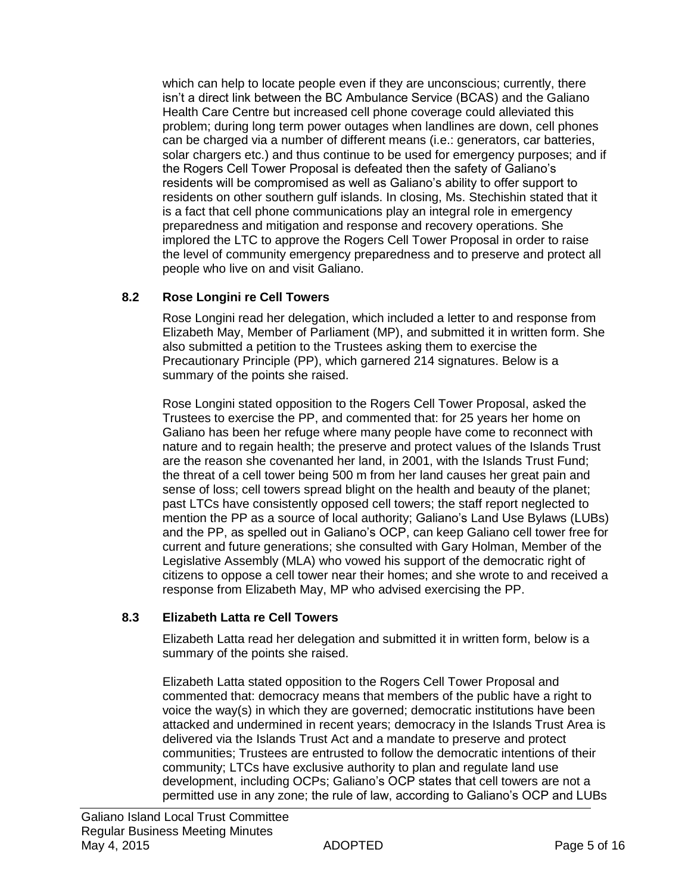which can help to locate people even if they are unconscious; currently, there isn't a direct link between the BC Ambulance Service (BCAS) and the Galiano Health Care Centre but increased cell phone coverage could alleviated this problem; during long term power outages when landlines are down, cell phones can be charged via a number of different means (i.e.: generators, car batteries, solar chargers etc.) and thus continue to be used for emergency purposes; and if the Rogers Cell Tower Proposal is defeated then the safety of Galiano's residents will be compromised as well as Galiano's ability to offer support to residents on other southern gulf islands. In closing, Ms. Stechishin stated that it is a fact that cell phone communications play an integral role in emergency preparedness and mitigation and response and recovery operations. She implored the LTC to approve the Rogers Cell Tower Proposal in order to raise the level of community emergency preparedness and to preserve and protect all people who live on and visit Galiano.

## **8.2 Rose Longini re Cell Towers**

Rose Longini read her delegation, which included a letter to and response from Elizabeth May, Member of Parliament (MP), and submitted it in written form. She also submitted a petition to the Trustees asking them to exercise the Precautionary Principle (PP), which garnered 214 signatures. Below is a summary of the points she raised.

Rose Longini stated opposition to the Rogers Cell Tower Proposal, asked the Trustees to exercise the PP, and commented that: for 25 years her home on Galiano has been her refuge where many people have come to reconnect with nature and to regain health; the preserve and protect values of the Islands Trust are the reason she covenanted her land, in 2001, with the Islands Trust Fund; the threat of a cell tower being 500 m from her land causes her great pain and sense of loss; cell towers spread blight on the health and beauty of the planet; past LTCs have consistently opposed cell towers; the staff report neglected to mention the PP as a source of local authority; Galiano's Land Use Bylaws (LUBs) and the PP, as spelled out in Galiano's OCP, can keep Galiano cell tower free for current and future generations; she consulted with Gary Holman, Member of the Legislative Assembly (MLA) who vowed his support of the democratic right of citizens to oppose a cell tower near their homes; and she wrote to and received a response from Elizabeth May, MP who advised exercising the PP.

## **8.3 Elizabeth Latta re Cell Towers**

Elizabeth Latta read her delegation and submitted it in written form, below is a summary of the points she raised.

Elizabeth Latta stated opposition to the Rogers Cell Tower Proposal and commented that: democracy means that members of the public have a right to voice the way(s) in which they are governed; democratic institutions have been attacked and undermined in recent years; democracy in the Islands Trust Area is delivered via the Islands Trust Act and a mandate to preserve and protect communities; Trustees are entrusted to follow the democratic intentions of their community; LTCs have exclusive authority to plan and regulate land use development, including OCPs; Galiano's OCP states that cell towers are not a permitted use in any zone; the rule of law, according to Galiano's OCP and LUBs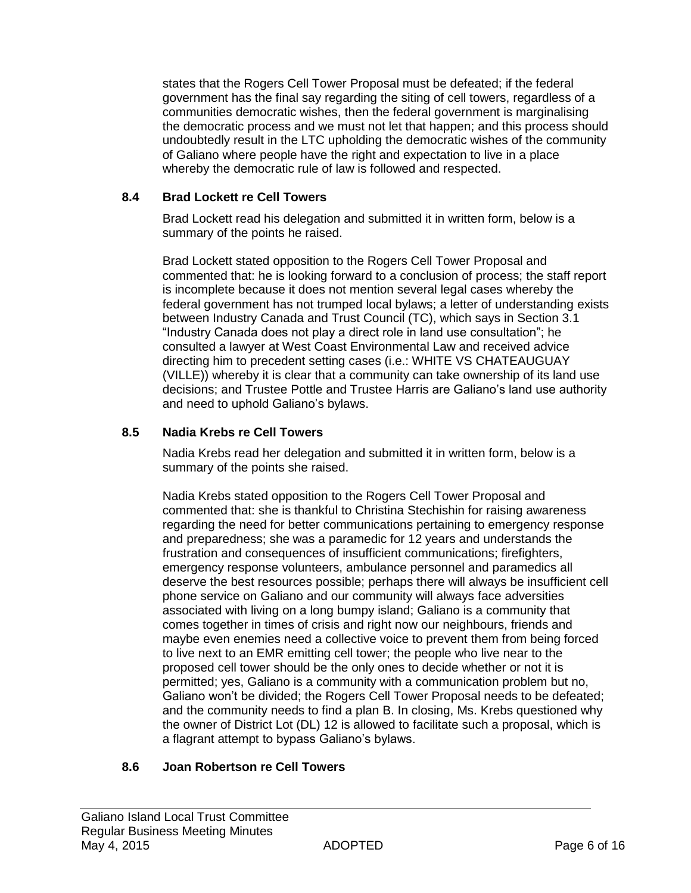states that the Rogers Cell Tower Proposal must be defeated; if the federal government has the final say regarding the siting of cell towers, regardless of a communities democratic wishes, then the federal government is marginalising the democratic process and we must not let that happen; and this process should undoubtedly result in the LTC upholding the democratic wishes of the community of Galiano where people have the right and expectation to live in a place whereby the democratic rule of law is followed and respected.

## **8.4 Brad Lockett re Cell Towers**

Brad Lockett read his delegation and submitted it in written form, below is a summary of the points he raised.

Brad Lockett stated opposition to the Rogers Cell Tower Proposal and commented that: he is looking forward to a conclusion of process; the staff report is incomplete because it does not mention several legal cases whereby the federal government has not trumped local bylaws; a letter of understanding exists between Industry Canada and Trust Council (TC), which says in Section 3.1 "Industry Canada does not play a direct role in land use consultation"; he consulted a lawyer at West Coast Environmental Law and received advice directing him to precedent setting cases (i.e.: WHITE VS CHATEAUGUAY (VILLE)) whereby it is clear that a community can take ownership of its land use decisions; and Trustee Pottle and Trustee Harris are Galiano's land use authority and need to uphold Galiano's bylaws.

## **8.5 Nadia Krebs re Cell Towers**

Nadia Krebs read her delegation and submitted it in written form, below is a summary of the points she raised.

Nadia Krebs stated opposition to the Rogers Cell Tower Proposal and commented that: she is thankful to Christina Stechishin for raising awareness regarding the need for better communications pertaining to emergency response and preparedness; she was a paramedic for 12 years and understands the frustration and consequences of insufficient communications; firefighters, emergency response volunteers, ambulance personnel and paramedics all deserve the best resources possible; perhaps there will always be insufficient cell phone service on Galiano and our community will always face adversities associated with living on a long bumpy island; Galiano is a community that comes together in times of crisis and right now our neighbours, friends and maybe even enemies need a collective voice to prevent them from being forced to live next to an EMR emitting cell tower; the people who live near to the proposed cell tower should be the only ones to decide whether or not it is permitted; yes, Galiano is a community with a communication problem but no, Galiano won't be divided; the Rogers Cell Tower Proposal needs to be defeated; and the community needs to find a plan B. In closing, Ms. Krebs questioned why the owner of District Lot (DL) 12 is allowed to facilitate such a proposal, which is a flagrant attempt to bypass Galiano's bylaws.

## **8.6 Joan Robertson re Cell Towers**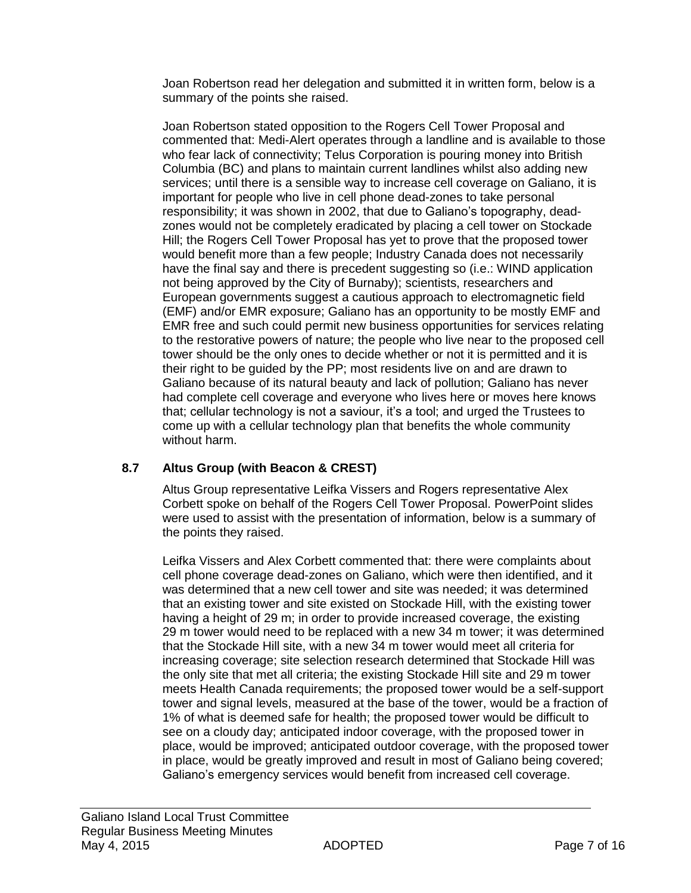Joan Robertson read her delegation and submitted it in written form, below is a summary of the points she raised.

Joan Robertson stated opposition to the Rogers Cell Tower Proposal and commented that: Medi-Alert operates through a landline and is available to those who fear lack of connectivity; Telus Corporation is pouring money into British Columbia (BC) and plans to maintain current landlines whilst also adding new services; until there is a sensible way to increase cell coverage on Galiano, it is important for people who live in cell phone dead-zones to take personal responsibility; it was shown in 2002, that due to Galiano's topography, deadzones would not be completely eradicated by placing a cell tower on Stockade Hill; the Rogers Cell Tower Proposal has yet to prove that the proposed tower would benefit more than a few people; Industry Canada does not necessarily have the final say and there is precedent suggesting so (i.e.: WIND application not being approved by the City of Burnaby); scientists, researchers and European governments suggest a cautious approach to electromagnetic field (EMF) and/or EMR exposure; Galiano has an opportunity to be mostly EMF and EMR free and such could permit new business opportunities for services relating to the restorative powers of nature; the people who live near to the proposed cell tower should be the only ones to decide whether or not it is permitted and it is their right to be guided by the PP; most residents live on and are drawn to Galiano because of its natural beauty and lack of pollution; Galiano has never had complete cell coverage and everyone who lives here or moves here knows that; cellular technology is not a saviour, it's a tool; and urged the Trustees to come up with a cellular technology plan that benefits the whole community without harm.

## **8.7 Altus Group (with Beacon & CREST)**

Altus Group representative Leifka Vissers and Rogers representative Alex Corbett spoke on behalf of the Rogers Cell Tower Proposal. PowerPoint slides were used to assist with the presentation of information, below is a summary of the points they raised.

Leifka Vissers and Alex Corbett commented that: there were complaints about cell phone coverage dead-zones on Galiano, which were then identified, and it was determined that a new cell tower and site was needed; it was determined that an existing tower and site existed on Stockade Hill, with the existing tower having a height of 29 m; in order to provide increased coverage, the existing 29 m tower would need to be replaced with a new 34 m tower; it was determined that the Stockade Hill site, with a new 34 m tower would meet all criteria for increasing coverage; site selection research determined that Stockade Hill was the only site that met all criteria; the existing Stockade Hill site and 29 m tower meets Health Canada requirements; the proposed tower would be a self-support tower and signal levels, measured at the base of the tower, would be a fraction of 1% of what is deemed safe for health; the proposed tower would be difficult to see on a cloudy day; anticipated indoor coverage, with the proposed tower in place, would be improved; anticipated outdoor coverage, with the proposed tower in place, would be greatly improved and result in most of Galiano being covered; Galiano's emergency services would benefit from increased cell coverage.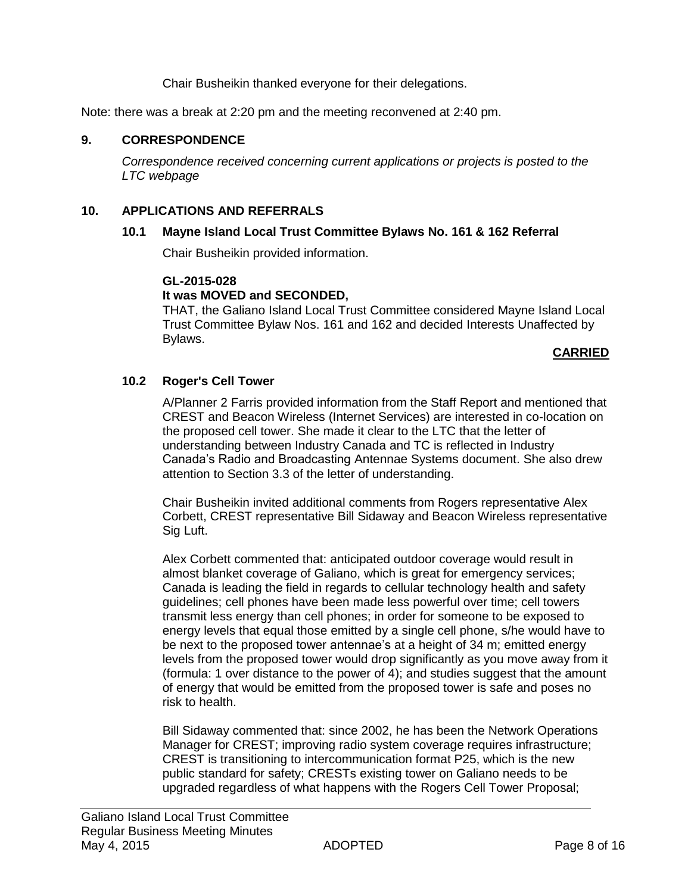Chair Busheikin thanked everyone for their delegations.

Note: there was a break at 2:20 pm and the meeting reconvened at 2:40 pm.

#### **9. CORRESPONDENCE**

*Correspondence received concerning current applications or projects is posted to the LTC webpage*

#### **10. APPLICATIONS AND REFERRALS**

#### **10.1 Mayne Island Local Trust Committee Bylaws No. 161 & 162 Referral**

Chair Busheikin provided information.

#### **GL-2015-028**

#### **It was MOVED and SECONDED,**

THAT, the Galiano Island Local Trust Committee considered Mayne Island Local Trust Committee Bylaw Nos. 161 and 162 and decided Interests Unaffected by Bylaws.

#### **CARRIED**

#### **10.2 Roger's Cell Tower**

A/Planner 2 Farris provided information from the Staff Report and mentioned that CREST and Beacon Wireless (Internet Services) are interested in co-location on the proposed cell tower. She made it clear to the LTC that the letter of understanding between Industry Canada and TC is reflected in Industry Canada's Radio and Broadcasting Antennae Systems document. She also drew attention to Section 3.3 of the letter of understanding.

Chair Busheikin invited additional comments from Rogers representative Alex Corbett, CREST representative Bill Sidaway and Beacon Wireless representative Sig Luft.

Alex Corbett commented that: anticipated outdoor coverage would result in almost blanket coverage of Galiano, which is great for emergency services; Canada is leading the field in regards to cellular technology health and safety guidelines; cell phones have been made less powerful over time; cell towers transmit less energy than cell phones; in order for someone to be exposed to energy levels that equal those emitted by a single cell phone, s/he would have to be next to the proposed tower antennae's at a height of 34 m; emitted energy levels from the proposed tower would drop significantly as you move away from it (formula: 1 over distance to the power of 4); and studies suggest that the amount of energy that would be emitted from the proposed tower is safe and poses no risk to health.

Bill Sidaway commented that: since 2002, he has been the Network Operations Manager for CREST; improving radio system coverage requires infrastructure; CREST is transitioning to intercommunication format P25, which is the new public standard for safety; CRESTs existing tower on Galiano needs to be upgraded regardless of what happens with the Rogers Cell Tower Proposal;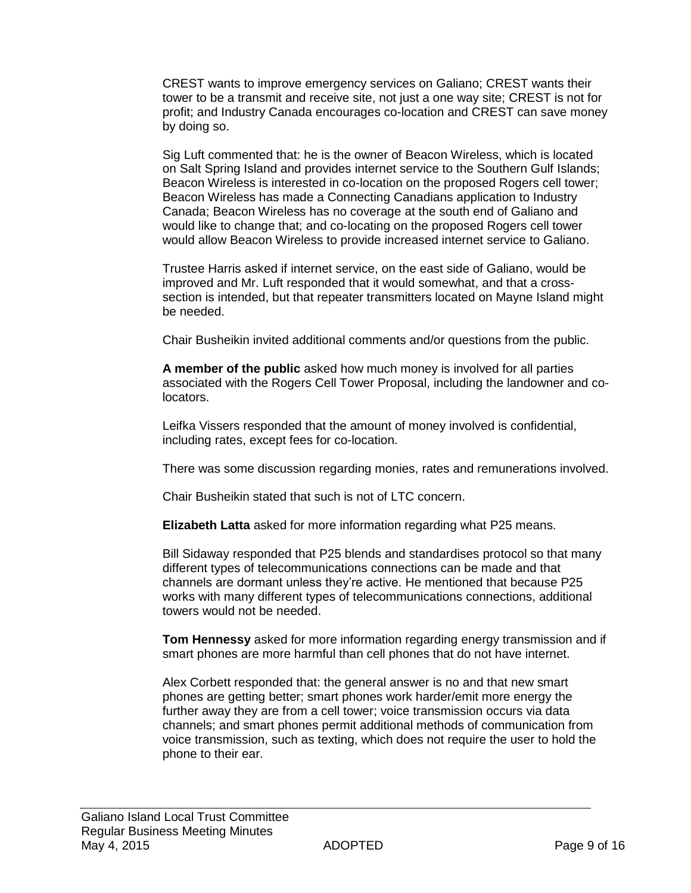CREST wants to improve emergency services on Galiano; CREST wants their tower to be a transmit and receive site, not just a one way site; CREST is not for profit; and Industry Canada encourages co-location and CREST can save money by doing so.

Sig Luft commented that: he is the owner of Beacon Wireless, which is located on Salt Spring Island and provides internet service to the Southern Gulf Islands; Beacon Wireless is interested in co-location on the proposed Rogers cell tower; Beacon Wireless has made a Connecting Canadians application to Industry Canada; Beacon Wireless has no coverage at the south end of Galiano and would like to change that; and co-locating on the proposed Rogers cell tower would allow Beacon Wireless to provide increased internet service to Galiano.

Trustee Harris asked if internet service, on the east side of Galiano, would be improved and Mr. Luft responded that it would somewhat, and that a crosssection is intended, but that repeater transmitters located on Mayne Island might be needed.

Chair Busheikin invited additional comments and/or questions from the public.

**A member of the public** asked how much money is involved for all parties associated with the Rogers Cell Tower Proposal, including the landowner and colocators.

Leifka Vissers responded that the amount of money involved is confidential, including rates, except fees for co-location.

There was some discussion regarding monies, rates and remunerations involved.

Chair Busheikin stated that such is not of LTC concern.

**Elizabeth Latta** asked for more information regarding what P25 means.

Bill Sidaway responded that P25 blends and standardises protocol so that many different types of telecommunications connections can be made and that channels are dormant unless they're active. He mentioned that because P25 works with many different types of telecommunications connections, additional towers would not be needed.

**Tom Hennessy** asked for more information regarding energy transmission and if smart phones are more harmful than cell phones that do not have internet.

Alex Corbett responded that: the general answer is no and that new smart phones are getting better; smart phones work harder/emit more energy the further away they are from a cell tower; voice transmission occurs via data channels; and smart phones permit additional methods of communication from voice transmission, such as texting, which does not require the user to hold the phone to their ear.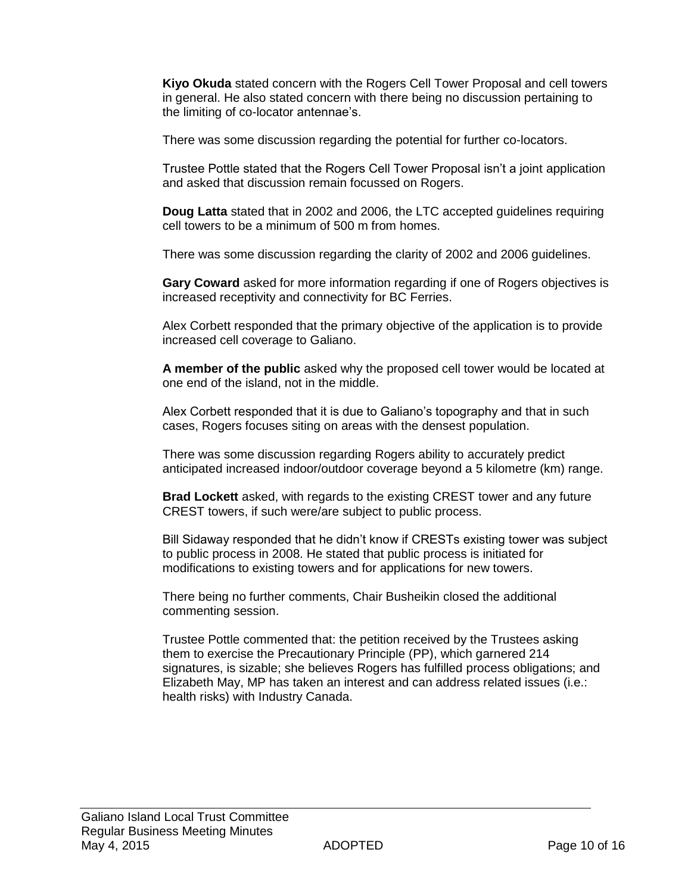**Kiyo Okuda** stated concern with the Rogers Cell Tower Proposal and cell towers in general. He also stated concern with there being no discussion pertaining to the limiting of co-locator antennae's.

There was some discussion regarding the potential for further co-locators.

Trustee Pottle stated that the Rogers Cell Tower Proposal isn't a joint application and asked that discussion remain focussed on Rogers.

**Doug Latta** stated that in 2002 and 2006, the LTC accepted guidelines requiring cell towers to be a minimum of 500 m from homes.

There was some discussion regarding the clarity of 2002 and 2006 guidelines.

**Gary Coward** asked for more information regarding if one of Rogers objectives is increased receptivity and connectivity for BC Ferries.

Alex Corbett responded that the primary objective of the application is to provide increased cell coverage to Galiano.

**A member of the public** asked why the proposed cell tower would be located at one end of the island, not in the middle.

Alex Corbett responded that it is due to Galiano's topography and that in such cases, Rogers focuses siting on areas with the densest population.

There was some discussion regarding Rogers ability to accurately predict anticipated increased indoor/outdoor coverage beyond a 5 kilometre (km) range.

**Brad Lockett** asked, with regards to the existing CREST tower and any future CREST towers, if such were/are subject to public process.

Bill Sidaway responded that he didn't know if CRESTs existing tower was subject to public process in 2008. He stated that public process is initiated for modifications to existing towers and for applications for new towers.

There being no further comments, Chair Busheikin closed the additional commenting session.

Trustee Pottle commented that: the petition received by the Trustees asking them to exercise the Precautionary Principle (PP), which garnered 214 signatures, is sizable; she believes Rogers has fulfilled process obligations; and Elizabeth May, MP has taken an interest and can address related issues (i.e.: health risks) with Industry Canada.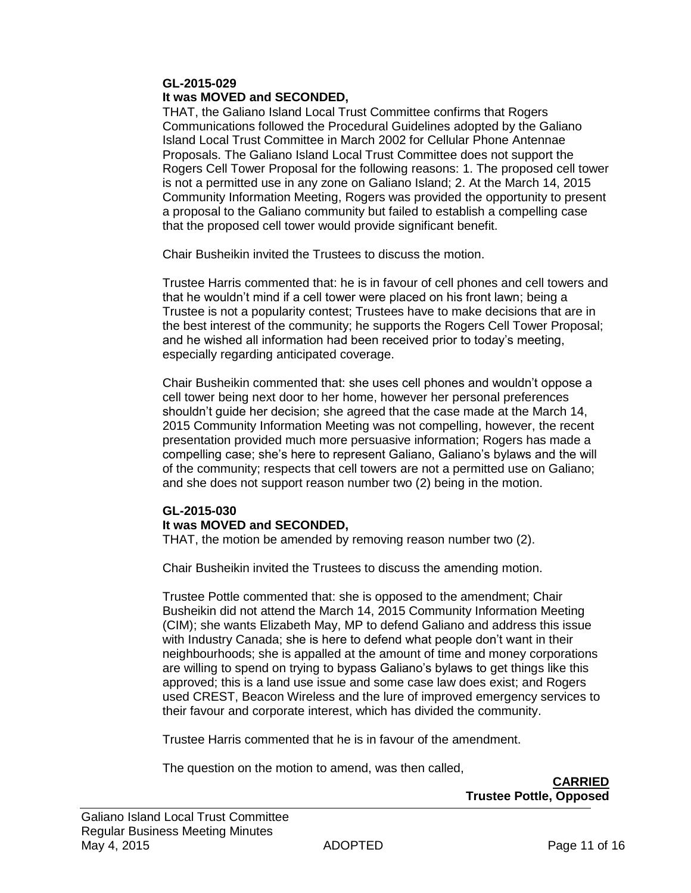#### **GL-2015-029 It was MOVED and SECONDED,**

THAT, the Galiano Island Local Trust Committee confirms that Rogers Communications followed the Procedural Guidelines adopted by the Galiano Island Local Trust Committee in March 2002 for Cellular Phone Antennae Proposals. The Galiano Island Local Trust Committee does not support the Rogers Cell Tower Proposal for the following reasons: 1. The proposed cell tower is not a permitted use in any zone on Galiano Island; 2. At the March 14, 2015 Community Information Meeting, Rogers was provided the opportunity to present a proposal to the Galiano community but failed to establish a compelling case that the proposed cell tower would provide significant benefit.

Chair Busheikin invited the Trustees to discuss the motion.

Trustee Harris commented that: he is in favour of cell phones and cell towers and that he wouldn't mind if a cell tower were placed on his front lawn; being a Trustee is not a popularity contest; Trustees have to make decisions that are in the best interest of the community; he supports the Rogers Cell Tower Proposal; and he wished all information had been received prior to today's meeting, especially regarding anticipated coverage.

Chair Busheikin commented that: she uses cell phones and wouldn't oppose a cell tower being next door to her home, however her personal preferences shouldn't guide her decision; she agreed that the case made at the March 14, 2015 Community Information Meeting was not compelling, however, the recent presentation provided much more persuasive information; Rogers has made a compelling case; she's here to represent Galiano, Galiano's bylaws and the will of the community; respects that cell towers are not a permitted use on Galiano; and she does not support reason number two (2) being in the motion.

#### **GL-2015-030 It was MOVED and SECONDED,**

THAT, the motion be amended by removing reason number two (2).

Chair Busheikin invited the Trustees to discuss the amending motion.

Trustee Pottle commented that: she is opposed to the amendment; Chair Busheikin did not attend the March 14, 2015 Community Information Meeting (CIM); she wants Elizabeth May, MP to defend Galiano and address this issue with Industry Canada; she is here to defend what people don't want in their neighbourhoods; she is appalled at the amount of time and money corporations are willing to spend on trying to bypass Galiano's bylaws to get things like this approved; this is a land use issue and some case law does exist; and Rogers used CREST, Beacon Wireless and the lure of improved emergency services to their favour and corporate interest, which has divided the community.

Trustee Harris commented that he is in favour of the amendment.

The question on the motion to amend, was then called,

**CARRIED Trustee Pottle, Opposed**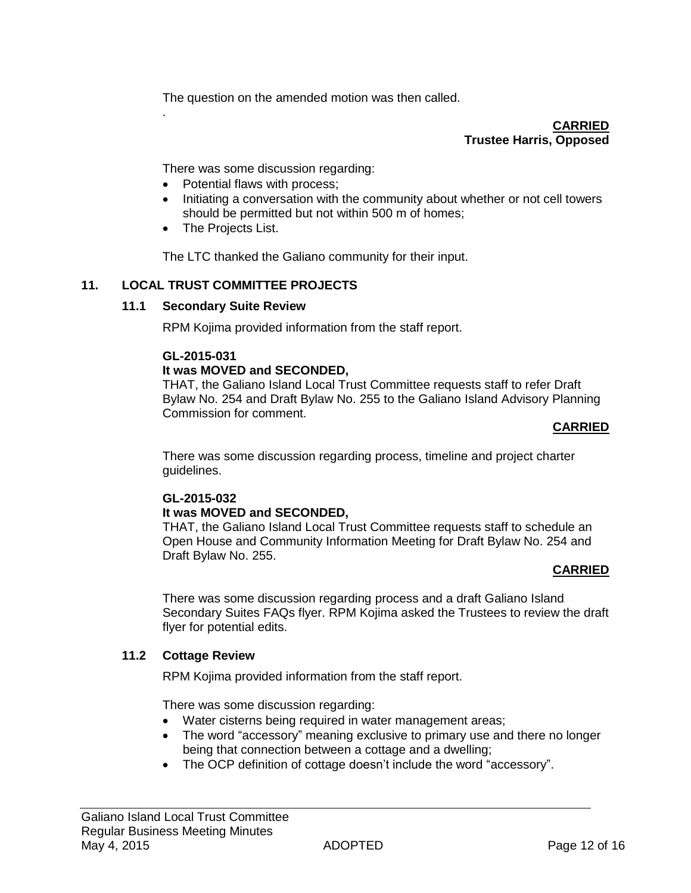The question on the amended motion was then called.

**CARRIED Trustee Harris, Opposed**

There was some discussion regarding:

- Potential flaws with process;
- Initiating a conversation with the community about whether or not cell towers should be permitted but not within 500 m of homes;
- The Projects List.

.

The LTC thanked the Galiano community for their input.

#### **11. LOCAL TRUST COMMITTEE PROJECTS**

#### **11.1 Secondary Suite Review**

RPM Kojima provided information from the staff report.

#### **GL-2015-031**

#### **It was MOVED and SECONDED,**

THAT, the Galiano Island Local Trust Committee requests staff to refer Draft Bylaw No. 254 and Draft Bylaw No. 255 to the Galiano Island Advisory Planning Commission for comment.

#### **CARRIED**

There was some discussion regarding process, timeline and project charter guidelines.

## **GL-2015-032**

#### **It was MOVED and SECONDED,**

THAT, the Galiano Island Local Trust Committee requests staff to schedule an Open House and Community Information Meeting for Draft Bylaw No. 254 and Draft Bylaw No. 255.

#### **CARRIED**

There was some discussion regarding process and a draft Galiano Island Secondary Suites FAQs flyer. RPM Kojima asked the Trustees to review the draft flyer for potential edits.

#### **11.2 Cottage Review**

RPM Kojima provided information from the staff report.

There was some discussion regarding:

- Water cisterns being required in water management areas;
- The word "accessory" meaning exclusive to primary use and there no longer being that connection between a cottage and a dwelling;
- The OCP definition of cottage doesn't include the word "accessory".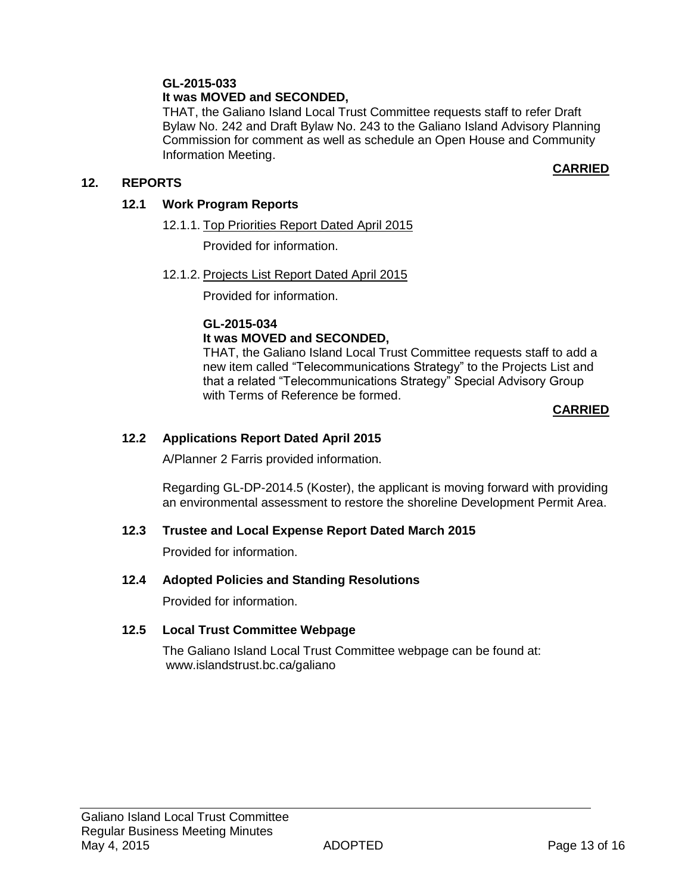## **GL-2015-033**

## **It was MOVED and SECONDED,**

THAT, the Galiano Island Local Trust Committee requests staff to refer Draft Bylaw No. 242 and Draft Bylaw No. 243 to the Galiano Island Advisory Planning Commission for comment as well as schedule an Open House and Community Information Meeting.

#### **12. REPORTS**

### **CARRIED**

#### **12.1 Work Program Reports**

12.1.1. Top Priorities Report Dated April 2015

Provided for information.

#### 12.1.2. Projects List Report Dated April 2015

Provided for information.

#### **GL-2015-034 It was MOVED and SECONDED,**

THAT, the Galiano Island Local Trust Committee requests staff to add a new item called "Telecommunications Strategy" to the Projects List and that a related "Telecommunications Strategy" Special Advisory Group with Terms of Reference be formed.

#### **CARRIED**

## **12.2 Applications Report Dated April 2015**

A/Planner 2 Farris provided information.

Regarding GL-DP-2014.5 (Koster), the applicant is moving forward with providing an environmental assessment to restore the shoreline Development Permit Area.

## **12.3 Trustee and Local Expense Report Dated March 2015**

Provided for information.

#### **12.4 Adopted Policies and Standing Resolutions**

Provided for information.

#### **12.5 Local Trust Committee Webpage**

The Galiano Island Local Trust Committee webpage can be found at: www.islandstrust.bc.ca/galiano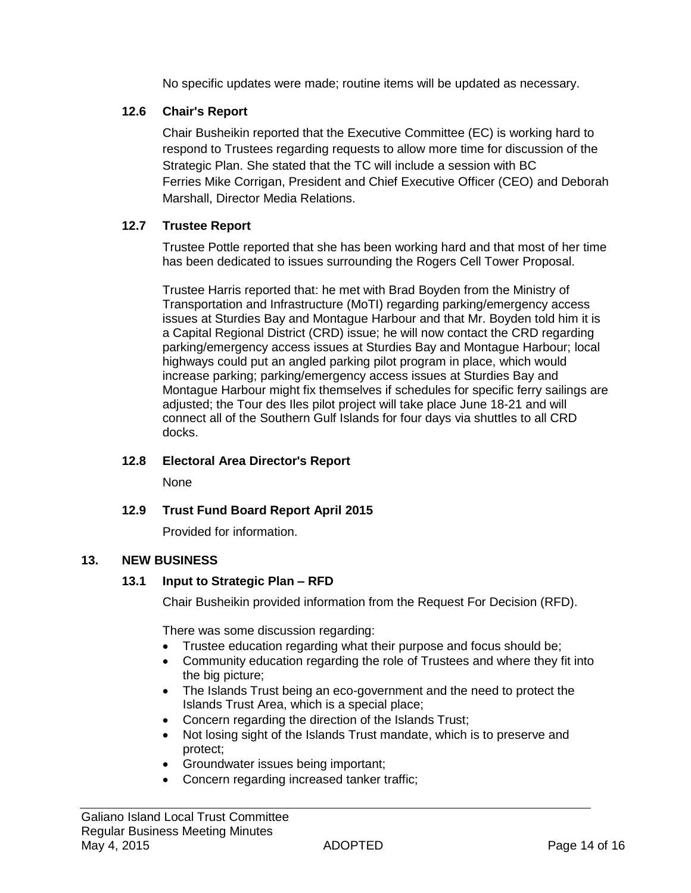No specific updates were made; routine items will be updated as necessary.

## **12.6 Chair's Report**

Chair Busheikin reported that the Executive Committee (EC) is working hard to respond to Trustees regarding requests to allow more time for discussion of the Strategic Plan. She stated that the TC will include a session with BC Ferries Mike Corrigan, President and Chief Executive Officer (CEO) and Deborah Marshall, Director Media Relations.

## **12.7 Trustee Report**

Trustee Pottle reported that she has been working hard and that most of her time has been dedicated to issues surrounding the Rogers Cell Tower Proposal.

Trustee Harris reported that: he met with Brad Boyden from the Ministry of Transportation and Infrastructure (MoTI) regarding parking/emergency access issues at Sturdies Bay and Montague Harbour and that Mr. Boyden told him it is a Capital Regional District (CRD) issue; he will now contact the CRD regarding parking/emergency access issues at Sturdies Bay and Montague Harbour; local highways could put an angled parking pilot program in place, which would increase parking; parking/emergency access issues at Sturdies Bay and Montague Harbour might fix themselves if schedules for specific ferry sailings are adjusted; the Tour des Iles pilot project will take place June 18-21 and will connect all of the Southern Gulf Islands for four days via shuttles to all CRD docks.

## **12.8 Electoral Area Director's Report**

None

## **12.9 Trust Fund Board Report April 2015**

Provided for information.

## **13. NEW BUSINESS**

## **13.1 Input to Strategic Plan – RFD**

Chair Busheikin provided information from the Request For Decision (RFD).

There was some discussion regarding:

- Trustee education regarding what their purpose and focus should be;
- Community education regarding the role of Trustees and where they fit into the big picture;
- The Islands Trust being an eco-government and the need to protect the Islands Trust Area, which is a special place;
- Concern regarding the direction of the Islands Trust;
- Not losing sight of the Islands Trust mandate, which is to preserve and protect;
- Groundwater issues being important;
- Concern regarding increased tanker traffic;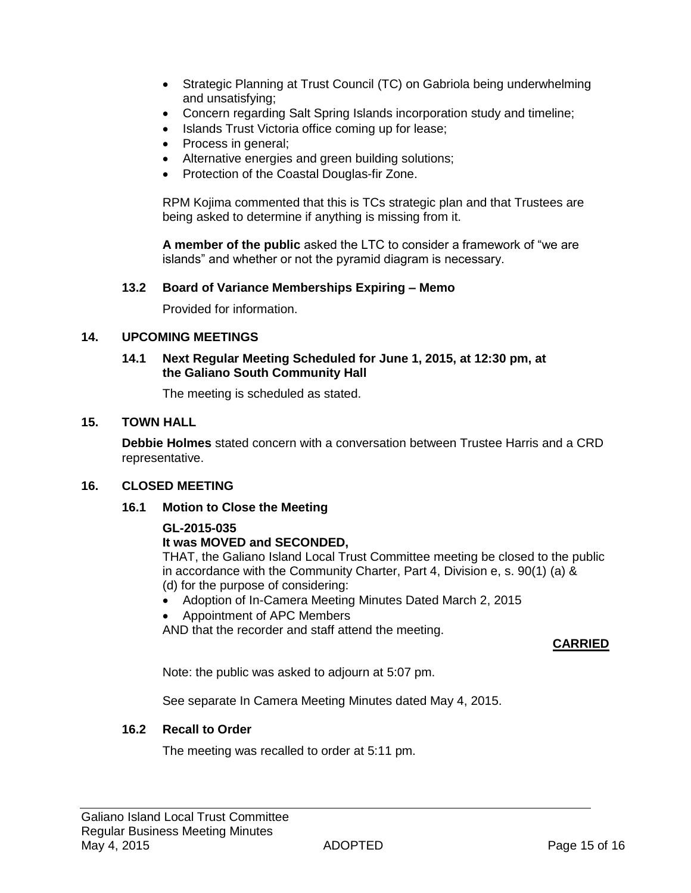- Strategic Planning at Trust Council (TC) on Gabriola being underwhelming and unsatisfying;
- Concern regarding Salt Spring Islands incorporation study and timeline;
- Islands Trust Victoria office coming up for lease;
- Process in general;
- Alternative energies and green building solutions;
- Protection of the Coastal Douglas-fir Zone.

RPM Kojima commented that this is TCs strategic plan and that Trustees are being asked to determine if anything is missing from it.

**A member of the public** asked the LTC to consider a framework of "we are islands" and whether or not the pyramid diagram is necessary.

#### **13.2 Board of Variance Memberships Expiring – Memo**

Provided for information.

#### **14. UPCOMING MEETINGS**

#### **14.1 Next Regular Meeting Scheduled for June 1, 2015, at 12:30 pm, at the Galiano South Community Hall**

The meeting is scheduled as stated.

#### **15. TOWN HALL**

**Debbie Holmes** stated concern with a conversation between Trustee Harris and a CRD representative.

#### **16. CLOSED MEETING**

#### **16.1 Motion to Close the Meeting**

#### **GL-2015-035**

#### **It was MOVED and SECONDED,**

THAT, the Galiano Island Local Trust Committee meeting be closed to the public in accordance with the Community Charter, Part 4, Division e, s. 90(1) (a) & (d) for the purpose of considering:

- Adoption of In-Camera Meeting Minutes Dated March 2, 2015
- Appointment of APC Members

AND that the recorder and staff attend the meeting.

#### **CARRIED**

Note: the public was asked to adjourn at 5:07 pm.

See separate In Camera Meeting Minutes dated May 4, 2015.

#### **16.2 Recall to Order**

The meeting was recalled to order at 5:11 pm.